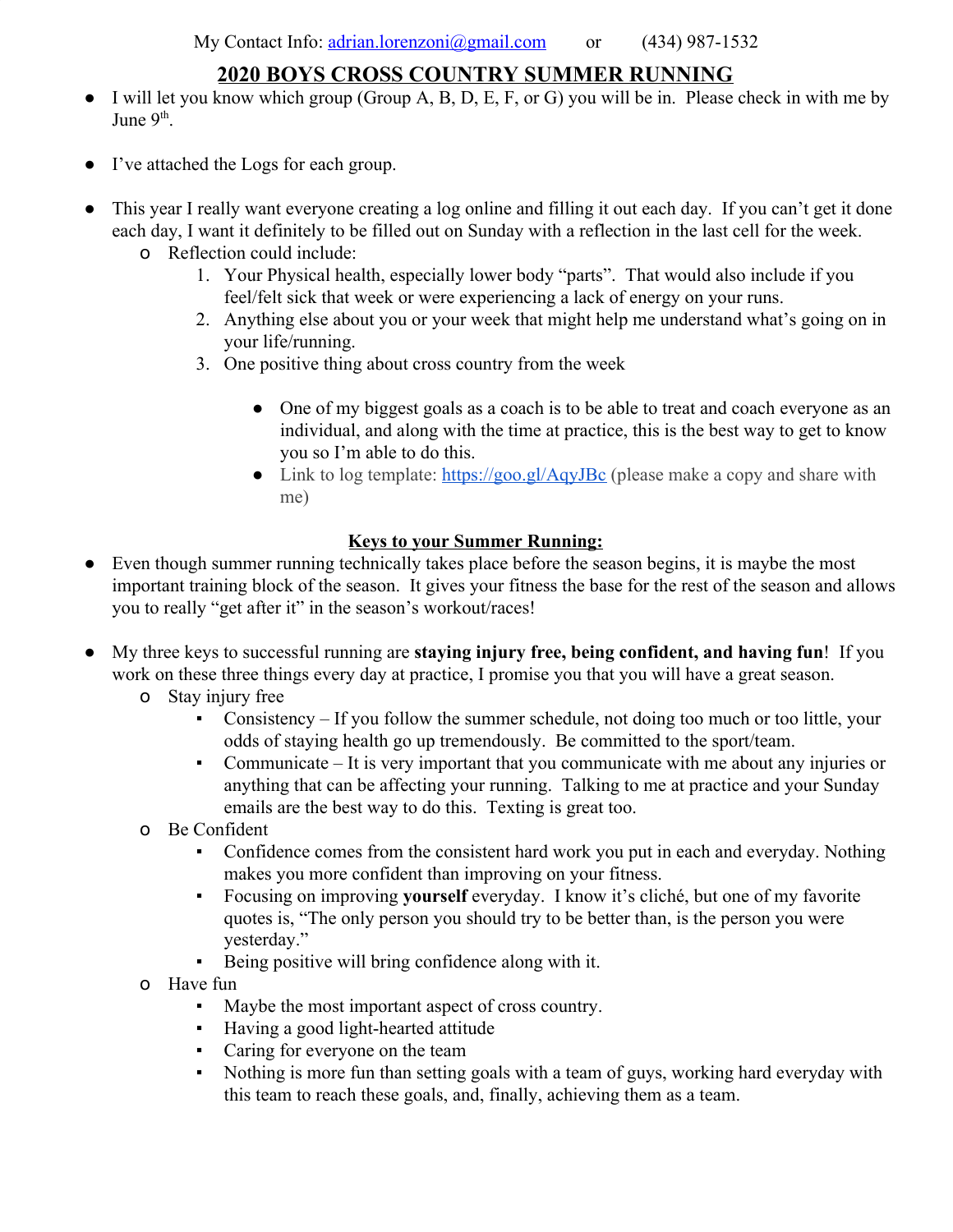## **2020 BOYS CROSS COUNTRY SUMMER RUNNING**

- I will let you know which group (Group A, B, D, E, F, or G) you will be in. Please check in with me by June 9<sup>th</sup>.
- I've attached the Logs for each group.
- This year I really want everyone creating a log online and filling it out each day. If you can't get it done each day, I want it definitely to be filled out on Sunday with a reflection in the last cell for the week.
	- o Reflection could include:
		- 1. Your Physical health, especially lower body "parts". That would also include if you feel/felt sick that week or were experiencing a lack of energy on your runs.
		- 2. Anything else about you or your week that might help me understand what's going on in your life/running.
		- 3. One positive thing about cross country from the week
			- One of my biggest goals as a coach is to be able to treat and coach everyone as an individual, and along with the time at practice, this is the best way to get to know you so I'm able to do this.
			- Link to log template: <https://goo.gl/AqyJBc>(please make a copy and share with me)

## **Keys to your Summer Running:**

- Even though summer running technically takes place before the season begins, it is maybe the most important training block of the season. It gives your fitness the base for the rest of the season and allows you to really "get after it" in the season's workout/races!
- My three keys to successful running are **staying injury free, being confident, and having fun**! If you work on these three things every day at practice, I promise you that you will have a great season.
	- o Stay injury free
		- Consistency If you follow the summer schedule, not doing too much or too little, your odds of staying health go up tremendously. Be committed to the sport/team.
		- Communicate It is very important that you communicate with me about any injuries or anything that can be affecting your running. Talking to me at practice and your Sunday emails are the best way to do this. Texting is great too.
	- o Be Confident
		- Confidence comes from the consistent hard work you put in each and everyday. Nothing makes you more confident than improving on your fitness.
		- Focusing on improving **yourself** everyday. I know it's cliché, but one of my favorite quotes is, "The only person you should try to be better than, is the person you were yesterday."
		- Being positive will bring confidence along with it.
	- o Have fun
		- Maybe the most important aspect of cross country.
		- Having a good light-hearted attitude
		- Caring for everyone on the team
		- Nothing is more fun than setting goals with a team of guys, working hard everyday with this team to reach these goals, and, finally, achieving them as a team.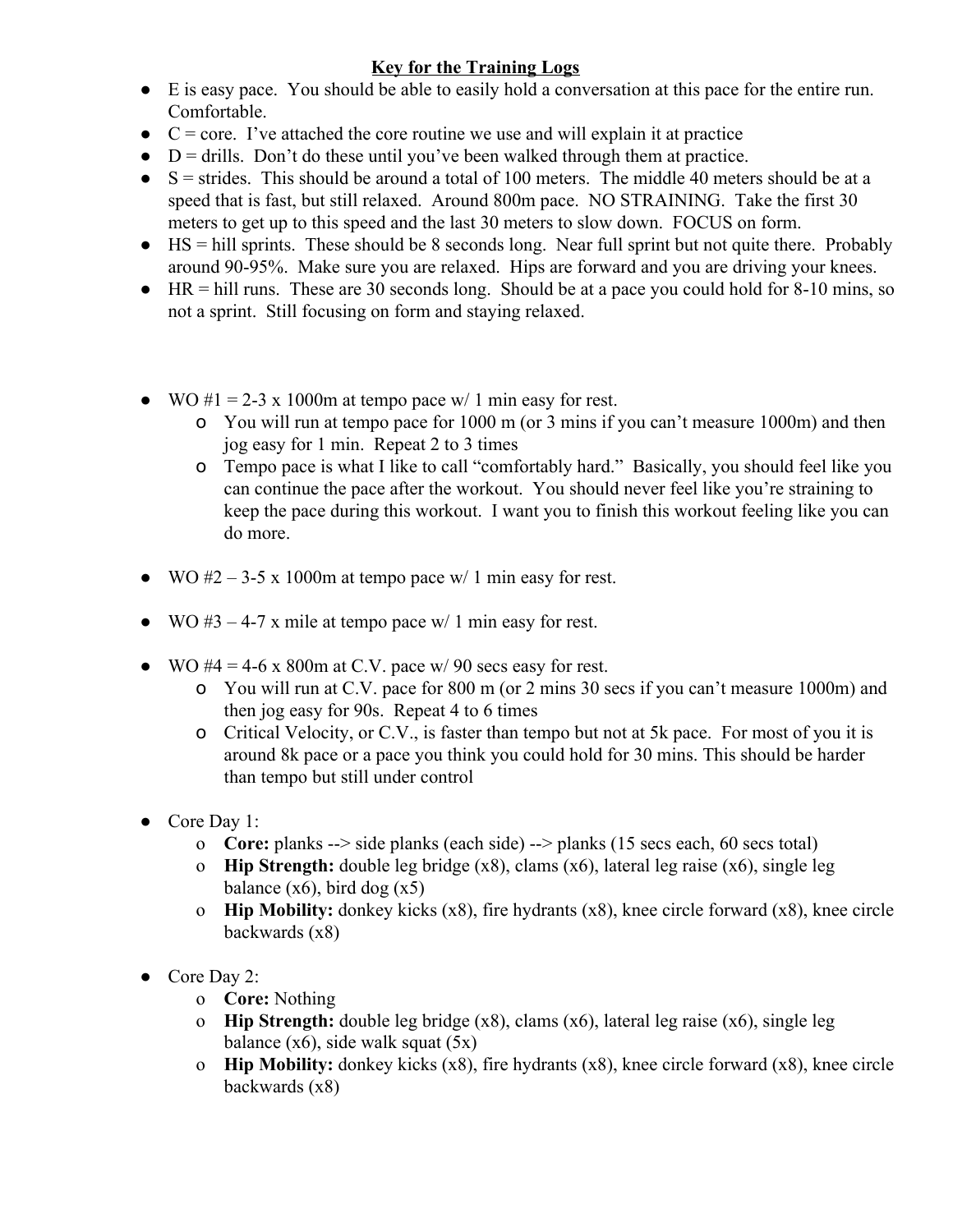## **Key for the Training Logs**

- E is easy pace. You should be able to easily hold a conversation at this pace for the entire run. Comfortable.
- $\bullet$   $C = core$ . I've attached the core routine we use and will explain it at practice
- $\bullet$  D = drills. Don't do these until you've been walked through them at practice.
- $\bullet$  S = strides. This should be around a total of 100 meters. The middle 40 meters should be at a speed that is fast, but still relaxed. Around 800m pace. NO STRAINING. Take the first 30 meters to get up to this speed and the last 30 meters to slow down. FOCUS on form.
- $\bullet$  HS = hill sprints. These should be 8 seconds long. Near full sprint but not quite there. Probably around 90-95%. Make sure you are relaxed. Hips are forward and you are driving your knees.
- HR = hill runs. These are 30 seconds long. Should be at a pace you could hold for 8-10 mins, so not a sprint. Still focusing on form and staying relaxed.
- WO  $\#1 = 2-3 \times 1000$ m at tempo pace w/ 1 min easy for rest.
	- o You will run at tempo pace for 1000 m (or 3 mins if you can't measure 1000m) and then jog easy for 1 min. Repeat 2 to 3 times
	- o Tempo pace is what I like to call "comfortably hard." Basically, you should feel like you can continue the pace after the workout. You should never feel like you're straining to keep the pace during this workout. I want you to finish this workout feeling like you can do more.
- WO  $#2 3-5 \times 1000$ m at tempo pace w/ 1 min easy for rest.
- WO  $#3 4-7$  x mile at tempo pace w/ 1 min easy for rest.
- $\bullet$  WO #4 = 4-6 x 800m at C.V. pace w/ 90 secs easy for rest.
	- o You will run at C.V. pace for 800 m (or 2 mins 30 secs if you can't measure 1000m) and then jog easy for 90s. Repeat 4 to 6 times
	- o Critical Velocity, or C.V., is faster than tempo but not at 5k pace. For most of you it is around 8k pace or a pace you think you could hold for 30 mins. This should be harder than tempo but still under control
- Core Day 1:
	- o **Core:** planks --> side planks (each side) --> planks (15 secs each, 60 secs total)
	- o **Hip Strength:** double leg bridge (x8), clams (x6), lateral leg raise (x6), single leg balance  $(x6)$ , bird dog  $(x5)$
	- o **Hip Mobility:** donkey kicks (x8), fire hydrants (x8), knee circle forward (x8), knee circle backwards (x8)
- Core Day 2:
	- o **Core:** Nothing
	- o **Hip Strength:** double leg bridge (x8), clams (x6), lateral leg raise (x6), single leg balance  $(x6)$ , side walk squat  $(5x)$
	- o **Hip Mobility:** donkey kicks (x8), fire hydrants (x8), knee circle forward (x8), knee circle backwards (x8)